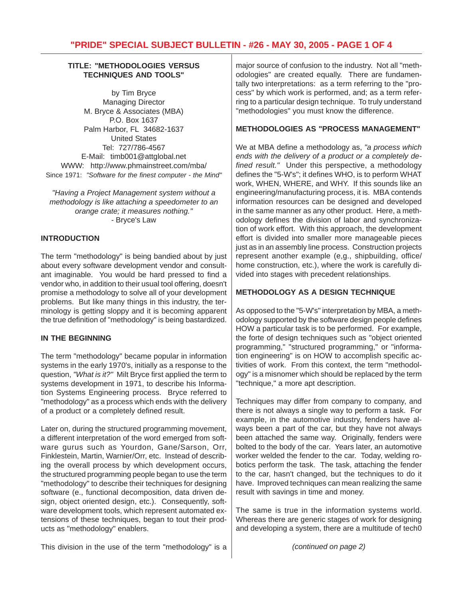### **TITLE: "METHODOLOGIES VERSUS TECHNIQUES AND TOOLS"**

by Tim Bryce Managing Director M. Bryce & Associates (MBA) P.O. Box 1637 Palm Harbor, FL 34682-1637 United States Tel: 727/786-4567 E-Mail: timb001@attglobal.net WWW: http://www.phmainstreet.com/mba/ Since 1971: *"Software for the finest computer - the Mind"*

*"Having a Project Management system without a methodology is like attaching a speedometer to an orange crate; it measures nothing."* - Bryce's Law

### **INTRODUCTION**

The term "methodology" is being bandied about by just about every software development vendor and consultant imaginable. You would be hard pressed to find a vendor who, in addition to their usual tool offering, doesn't promise a methodology to solve all of your development problems. But like many things in this industry, the terminology is getting sloppy and it is becoming apparent the true definition of "methodology" is being bastardized.

## **IN THE BEGINNING**

The term "methodology" became popular in information systems in the early 1970's, initially as a response to the question, *"What is it?"* Milt Bryce first applied the term to systems development in 1971, to describe his Information Systems Engineering process. Bryce referred to "methodology" as a process which ends with the delivery of a product or a completely defined result.

Later on, during the structured programming movement, a different interpretation of the word emerged from software gurus such as Yourdon, Gane/Sarson, Orr, Finklestein, Martin, Warnier/Orr, etc. Instead of describing the overall process by which development occurs, the structured programming people began to use the term "methodology" to describe their techniques for designing software (e., functional decomposition, data driven design, object oriented design, etc.). Consequently, software development tools, which represent automated extensions of these techniques, began to tout their products as "methodology" enablers.

major source of confusion to the industry. Not all "methodologies" are created equally. There are fundamentally two interpretations: as a term referring to the "process" by which work is performed, and; as a term referring to a particular design technique. To truly understand "methodologies" you must know the difference.

## **METHODOLOGIES AS "PROCESS MANAGEMENT"**

We at MBA define a methodology as, *"a process which ends with the delivery of a product or a completely defined result."* Under this perspective, a methodology defines the "5-W's"; it defines WHO, is to perform WHAT work, WHEN, WHERE, and WHY. If this sounds like an engineering/manufacturing process, it is. MBA contends information resources can be designed and developed in the same manner as any other product. Here, a methodology defines the division of labor and synchronization of work effort. With this approach, the development effort is divided into smaller more manageable pieces just as in an assembly line process. Construction projects represent another example (e,g., shipbuilding, office/ home construction, etc.), where the work is carefully divided into stages with precedent relationships.

## **METHODOLOGY AS A DESIGN TECHNIQUE**

As opposed to the "5-W's" interpretation by MBA, a methodology supported by the software design people defines HOW a particular task is to be performed. For example, the forte of design techniques such as "object oriented programming," "structured programming," or "information engineering" is on HOW to accomplish specific activities of work. From this context, the term "methodology" is a misnomer which should be replaced by the term "technique," a more apt description.

Techniques may differ from company to company, and there is not always a single way to perform a task. For example, in the automotive industry, fenders have always been a part of the car, but they have not always been attached the same way. Originally, fenders were bolted to the body of the car. Years later, an automotive worker welded the fender to the car. Today, welding robotics perform the task. The task, attaching the fender to the car, hasn't changed, but the techniques to do it have. Improved techniques can mean realizing the same result with savings in time and money.

The same is true in the information systems world. Whereas there are generic stages of work for designing and developing a system, there are a multitude of tech0

This division in the use of the term "methodology" is a

*(continued on page 2)*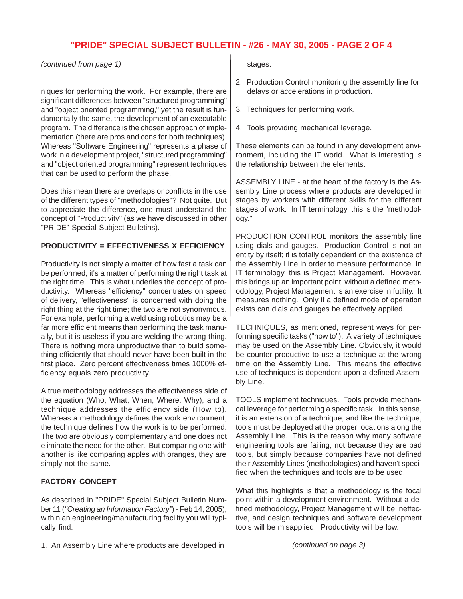*(continued from page 1)*

niques for performing the work. For example, there are significant differences between "structured programming" and "object oriented programming," yet the result is fundamentally the same, the development of an executable program. The difference is the chosen approach of implementation (there are pros and cons for both techniques). Whereas "Software Engineering" represents a phase of work in a development project, "structured programming" and "object oriented programming" represent techniques that can be used to perform the phase.

Does this mean there are overlaps or conflicts in the use of the different types of "methodologies"? Not quite. But to appreciate the difference, one must understand the concept of "Productivity" (as we have discussed in other "PRIDE" Special Subject Bulletins).

## **PRODUCTIVITY = EFFECTIVENESS X EFFICIENCY**

Productivity is not simply a matter of how fast a task can be performed, it's a matter of performing the right task at the right time. This is what underlies the concept of productivity. Whereas "efficiency" concentrates on speed of delivery, "effectiveness" is concerned with doing the right thing at the right time; the two are not synonymous. For example, performing a weld using robotics may be a far more efficient means than performing the task manually, but it is useless if you are welding the wrong thing. There is nothing more unproductive than to build something efficiently that should never have been built in the first place. Zero percent effectiveness times 1000% efficiency equals zero productivity.

A true methodology addresses the effectiveness side of the equation (Who, What, When, Where, Why), and a technique addresses the efficiency side (How to). Whereas a methodology defines the work environment, the technique defines how the work is to be performed. The two are obviously complementary and one does not eliminate the need for the other. But comparing one with another is like comparing apples with oranges, they are simply not the same.

## **FACTORY CONCEPT**

As described in "PRIDE" Special Subject Bulletin Number 11 (*"Creating an Information Factory"*) - Feb 14, 2005), within an engineering/manufacturing facility you will typically find:

1. An Assembly Line where products are developed in

### stages.

- 2. Production Control monitoring the assembly line for delays or accelerations in production.
- 3. Techniques for performing work.
- 4. Tools providing mechanical leverage.

These elements can be found in any development environment, including the IT world. What is interesting is the relationship between the elements:

ASSEMBLY LINE - at the heart of the factory is the Assembly Line process where products are developed in stages by workers with different skills for the different stages of work. In IT terminology, this is the "methodology."

PRODUCTION CONTROL monitors the assembly line using dials and gauges. Production Control is not an entity by itself; it is totally dependent on the existence of the Assembly Line in order to measure performance. In IT terminology, this is Project Management. However, this brings up an important point; without a defined methodology, Project Management is an exercise in futility. It measures nothing. Only if a defined mode of operation exists can dials and gauges be effectively applied.

TECHNIQUES, as mentioned, represent ways for performing specific tasks ("how to"). A variety of techniques may be used on the Assembly Line. Obviously, it would be counter-productive to use a technique at the wrong time on the Assembly Line. This means the effective use of techniques is dependent upon a defined Assembly Line.

TOOLS implement techniques. Tools provide mechanical leverage for performing a specific task. In this sense, it is an extension of a technique, and like the technique, tools must be deployed at the proper locations along the Assembly Line. This is the reason why many software engineering tools are failing; not because they are bad tools, but simply because companies have not defined their Assembly Lines (methodologies) and haven't specified when the techniques and tools are to be used.

What this highlights is that a methodology is the focal point within a development environment. Without a defined methodology, Project Management will be ineffective, and design techniques and software development tools will be misapplied. Productivity will be low.

*(continued on page 3)*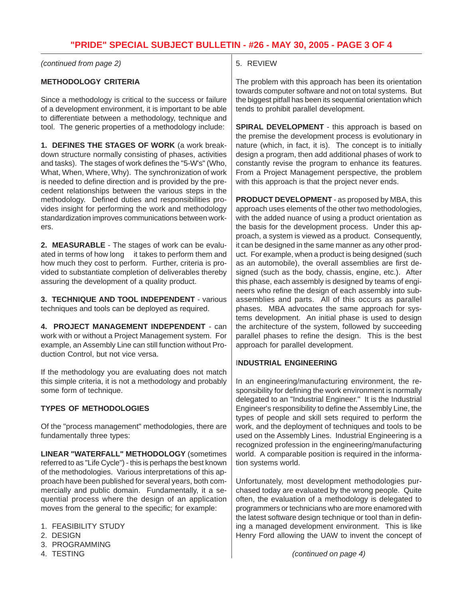# **"PRIDE" SPECIAL SUBJECT BULLETIN - #26 - MAY 30, 2005 - PAGE 3 OF 4**

*(continued from page 2)*

### **METHODOLOGY CRITERIA**

Since a methodology is critical to the success or failure of a development environment, it is important to be able to differentiate between a methodology, technique and tool. The generic properties of a methodology include:

**1. DEFINES THE STAGES OF WORK** (a work breakdown structure normally consisting of phases, activities and tasks). The stages of work defines the "5-W's" (Who, What, When, Where, Why). The synchronization of work is needed to define direction and is provided by the precedent relationships between the various steps in the methodology. Defined duties and responsibilities provides insight for performing the work and methodology standardization improves communications between workers.

**2. MEASURABLE** - The stages of work can be evaluated in terms of how long it takes to perform them and how much they cost to perform. Further, criteria is provided to substantiate completion of deliverables thereby assuring the development of a quality product.

**3. TECHNIQUE AND TOOL INDEPENDENT** - various techniques and tools can be deployed as required.

**4. PROJECT MANAGEMENT INDEPENDENT** - can work with or without a Project Management system. For example, an Assembly Line can still function without Production Control, but not vice versa.

If the methodology you are evaluating does not match this simple criteria, it is not a methodology and probably some form of technique.

## **TYPES OF METHODOLOGIES**

Of the "process management" methodologies, there are fundamentally three types:

**LINEAR "WATERFALL" METHODOLOGY** (sometimes referred to as "Life Cycle") - this is perhaps the best known of the methodologies. Various interpretations of this approach have been published for several years, both commercially and public domain. Fundamentally, it a sequential process where the design of an application moves from the general to the specific; for example:

- 1. FEASIBILITY STUDY
- 2. DESIGN
- 3. PROGRAMMING
- 4. TESTING

## 5. REVIEW

The problem with this approach has been its orientation towards computer software and not on total systems. But the biggest pitfall has been its sequential orientation which tends to prohibit parallel development.

**SPIRAL DEVELOPMENT** - this approach is based on the premise the development process is evolutionary in nature (which, in fact, it is). The concept is to initially design a program, then add additional phases of work to constantly revise the program to enhance its features. From a Project Management perspective, the problem with this approach is that the project never ends.

**PRODUCT DEVELOPMENT** - as proposed by MBA, this approach uses elements of the other two methodologies, with the added nuance of using a product orientation as the basis for the development process. Under this approach, a system is viewed as a product. Consequently, it can be designed in the same manner as any other product. For example, when a product is being designed (such as an automobile), the overall assemblies are first designed (such as the body, chassis, engine, etc.). After this phase, each assembly is designed by teams of engineers who refine the design of each assembly into subassemblies and parts. All of this occurs as parallel phases. MBA advocates the same approach for systems development. An initial phase is used to design the architecture of the system, followed by succeeding parallel phases to refine the design. This is the best approach for parallel development.

### I**NDUSTRIAL ENGINEERING**

In an engineering/manufacturing environment, the responsibility for defining the work environment is normally delegated to an "Industrial Engineer." It is the Industrial Engineer's responsibility to define the Assembly Line, the types of people and skill sets required to perform the work, and the deployment of techniques and tools to be used on the Assembly Lines. Industrial Engineering is a recognized profession in the engineering/manufacturing world. A comparable position is required in the information systems world.

Unfortunately, most development methodologies purchased today are evaluated by the wrong people. Quite often, the evaluation of a methodology is delegated to programmers or technicians who are more enamored with the latest software design technique or tool than in defining a managed development environment. This is like Henry Ford allowing the UAW to invent the concept of

*(continued on page 4)*